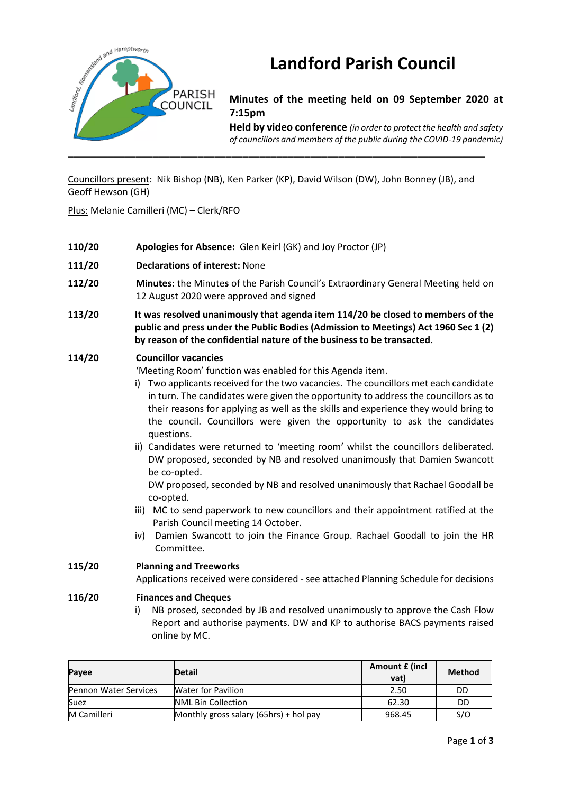

# **Landford Parish Council**

**Minutes of the meeting held on 09 September 2020 at 7:15pm**

**Held by video conference** *(in order to protect the health and safety of councillors and members of the public during the COVID-19 pandemic)* 

Councillors present: Nik Bishop (NB), Ken Parker (KP), David Wilson (DW), John Bonney (JB), and Geoff Hewson (GH)

Plus: Melanie Camilleri (MC) – Clerk/RFO

| 110/20 | Apologies for Absence: Glen Keirl (GK) and Joy Proctor (JP)                                                                                                                                                                                                                                                                                                                                                                                                                                                                                                                                                                                                                                                                                                                                                                                                                                                                                                          |
|--------|----------------------------------------------------------------------------------------------------------------------------------------------------------------------------------------------------------------------------------------------------------------------------------------------------------------------------------------------------------------------------------------------------------------------------------------------------------------------------------------------------------------------------------------------------------------------------------------------------------------------------------------------------------------------------------------------------------------------------------------------------------------------------------------------------------------------------------------------------------------------------------------------------------------------------------------------------------------------|
| 111/20 | <b>Declarations of interest: None</b>                                                                                                                                                                                                                                                                                                                                                                                                                                                                                                                                                                                                                                                                                                                                                                                                                                                                                                                                |
| 112/20 | Minutes: the Minutes of the Parish Council's Extraordinary General Meeting held on<br>12 August 2020 were approved and signed                                                                                                                                                                                                                                                                                                                                                                                                                                                                                                                                                                                                                                                                                                                                                                                                                                        |
| 113/20 | It was resolved unanimously that agenda item 114/20 be closed to members of the<br>public and press under the Public Bodies (Admission to Meetings) Act 1960 Sec 1 (2)<br>by reason of the confidential nature of the business to be transacted.                                                                                                                                                                                                                                                                                                                                                                                                                                                                                                                                                                                                                                                                                                                     |
| 114/20 | <b>Councillor vacancies</b><br>'Meeting Room' function was enabled for this Agenda item.<br>Two applicants received for the two vacancies. The councillors met each candidate<br>in turn. The candidates were given the opportunity to address the councillors as to<br>their reasons for applying as well as the skills and experience they would bring to<br>the council. Councillors were given the opportunity to ask the candidates<br>questions.<br>ii) Candidates were returned to 'meeting room' whilst the councillors deliberated.<br>DW proposed, seconded by NB and resolved unanimously that Damien Swancott<br>be co-opted.<br>DW proposed, seconded by NB and resolved unanimously that Rachael Goodall be<br>co-opted.<br>iii) MC to send paperwork to new councillors and their appointment ratified at the<br>Parish Council meeting 14 October.<br>Damien Swancott to join the Finance Group. Rachael Goodall to join the HR<br>iv)<br>Committee. |
| 115/20 | <b>Planning and Treeworks</b><br>Applications received were considered - see attached Planning Schedule for decisions                                                                                                                                                                                                                                                                                                                                                                                                                                                                                                                                                                                                                                                                                                                                                                                                                                                |
| 116/20 | <b>Finances and Cheques</b><br>NB prosed, seconded by JB and resolved unanimously to approve the Cash Flow<br>i)                                                                                                                                                                                                                                                                                                                                                                                                                                                                                                                                                                                                                                                                                                                                                                                                                                                     |

Report and authorise payments. DW and KP to authorise BACS payments raised online by MC.

| Payee                        | <b>Detail</b>                          | Amount £ (incl<br>vat) | Method |
|------------------------------|----------------------------------------|------------------------|--------|
| <b>Pennon Water Services</b> | <b>Water for Pavilion</b>              | 2.50                   | DD     |
| Suez                         | <b>NML Bin Collection</b>              | 62.30                  | DD     |
| <b>M</b> Camilleri           | Monthly gross salary (65hrs) + hol pay | 968.45                 | S/O    |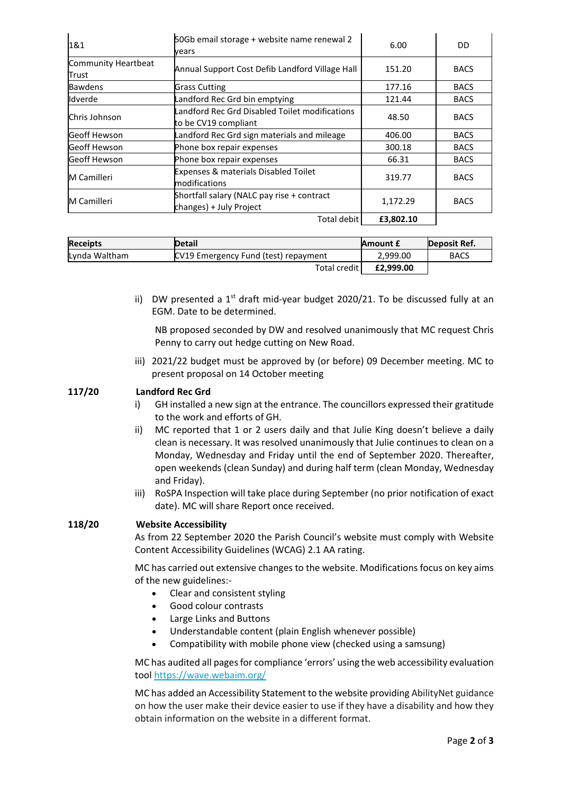| 1&1                          | 50Gb email storage + website name renewal 2<br>vears                   | 6.00      | DD          |
|------------------------------|------------------------------------------------------------------------|-----------|-------------|
| Community Heartbeat<br>Trust | Annual Support Cost Defib Landford Village Hall                        | 151.20    | <b>BACS</b> |
| <b>Bawdens</b>               | <b>Grass Cutting</b>                                                   | 177.16    | <b>BACS</b> |
| Idverde                      | Landford Rec Grd bin emptying                                          | 121.44    | <b>BACS</b> |
| Chris Johnson                | Landford Rec Grd Disabled Toilet modifications<br>to be CV19 compliant | 48.50     | <b>BACS</b> |
| Geoff Hewson                 | Landford Rec Grd sign materials and mileage                            | 406.00    | <b>BACS</b> |
| Geoff Hewson                 | Phone box repair expenses                                              | 300.18    | <b>BACS</b> |
| Geoff Hewson                 | Phone box repair expenses                                              | 66.31     | <b>BACS</b> |
| <b>M</b> Camilleri           | Expenses & materials Disabled Toilet<br>modifications                  | 319.77    | <b>BACS</b> |
| M Camilleri                  | Shortfall salary (NALC pay rise + contract<br>changes) + July Project  | 1,172.29  | <b>BACS</b> |
|                              | Total debit                                                            | £3,802.10 |             |

| <b>Receipts</b> | <b>Detail</b>                        | Amount £  | Deposit Ref. |
|-----------------|--------------------------------------|-----------|--------------|
| Lynda Waltham   | CV19 Emergency Fund (test) repayment | 2.999.00  | <b>BACS</b>  |
|                 | Total credit                         | £2,999.00 |              |

ii) DW presented a  $1<sup>st</sup>$  draft mid-year budget 2020/21. To be discussed fully at an EGM. Date to be determined.

NB proposed seconded by DW and resolved unanimously that MC request Chris Penny to carry out hedge cutting on New Road.

iii) 2021/22 budget must be approved by (or before) 09 December meeting. MC to present proposal on 14 October meeting

# **117/20 Landford Rec Grd**

- i) GH installed a new sign at the entrance. The councillors expressed their gratitude to the work and efforts of GH.
- ii) MC reported that 1 or 2 users daily and that Julie King doesn't believe a daily clean is necessary. It was resolved unanimously that Julie continues to clean on a Monday, Wednesday and Friday until the end of September 2020. Thereafter, open weekends (clean Sunday) and during half term (clean Monday, Wednesday and Friday).
- iii) RoSPA Inspection will take place during September (no prior notification of exact date). MC will share Report once received.

## **118/20 Website Accessibility**

As from 22 September 2020 the Parish Council's website must comply with Website Content Accessibility Guidelines (WCAG) 2.1 AA rating.

MC has carried out extensive changes to the website. Modifications focus on key aims of the new guidelines:-

- Clear and consistent styling
- Good colour contrasts
- Large Links and Buttons
- Understandable content (plain English whenever possible)
- Compatibility with mobile phone view (checked using a samsung)

MC has audited all pages for compliance 'errors' using the web accessibility evaluation tool <https://wave.webaim.org/>

MC has added an Accessibility Statement to the website providing AbilityNet guidance on how the user make their device easier to use if they have a disability and how they obtain information on the website in a different format.